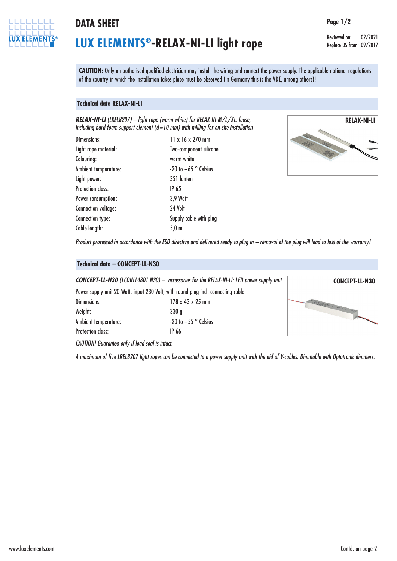

### **DATA SHEET Page 1/2**

# **LUX ELEMENTS®-RELAX-NI-LI light rope**

Reviewed on: 02/2021 Replace DS from: 09/2017

**CAUTION:** Only an authorised qualified electrician may install the wiring and connect the power supply. The applicable national regulations of the country in which the installation takes place must be observed (in Germany this is the VDE, among others)!

### **Technical data RELAX-NI-LI**

*RELAX-NI-LI (LREL8207) – light rope (warm white) for RELAX-NI-M/L/XL, loose, including hard foam support element (d=10 mm) with milling for on-site installation*

| Dimensions:              | 11 x 16 x 270 mm                |
|--------------------------|---------------------------------|
| Light rope material:     | Two-component silicone          |
| Colouring:               | warm white                      |
| Ambient temperature:     | -20 to $+65$ $^{\circ}$ Celsius |
| Light power:             | 351 lumen                       |
| <b>Protection class:</b> | <b>IP 65</b>                    |
| Power consumption:       | <b>3,9 Watt</b>                 |
| Connection voltage:      | 24 Volt                         |
| Connection type:         | Supply cable with plug          |
| Cable length:            | $5,0 \text{ m}$                 |
|                          |                                 |



Product processed in accordance with the ESD directive and delivered ready to plug in - removal of the plug will lead to loss of the warranty!

### **Technical data – CONCEPT-LL-N30**

*CONCEPT-LL-N30 (LCONLL4801.N30) – accessories for the RELAX-NI-LI: LED power supply unit*

|                          | Power supply unit 20 Watt, input 230 Volt, with round plug incl. connecting cable |
|--------------------------|-----------------------------------------------------------------------------------|
| Dimensions:              | $178 \times 43 \times 25$ mm                                                      |
| Weight:                  | 330a                                                                              |
| Ambient temperature:     | -20 to $+55$ $^{\circ}$ Celsius                                                   |
| <b>Protection class:</b> | IP 66                                                                             |
|                          |                                                                                   |



*CAUTION! Guarantee only if lead seal is intact.*

A maximum of five LREL8207 light ropes can be connected to a power supply unit with the aid of Y-cables. Dimmable with Optotronic dimmers.